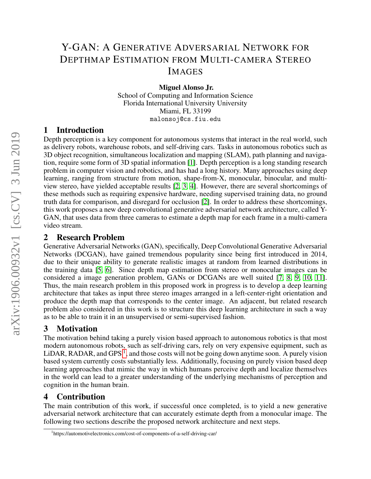# Y-GAN: A GENERATIVE ADVERSARIAL NETWORK FOR DEPTHMAP ESTIMATION FROM MULTI-CAMERA STEREO IMAGES

Miguel Alonso Jr.

School of Computing and Information Science Florida International University University Miami, FL 33199 malonsoj@cs.fiu.edu

### 1 Introduction

Depth perception is a key component for autonomous systems that interact in the real world, such as delivery robots, warehouse robots, and self-driving cars. Tasks in autonomous robotics such as 3D object recognition, simultaneous localization and mapping (SLAM), path planning and navigation, require some form of 3D spatial information [\[1\]](#page-2-0). Depth perception is a long standing research problem in computer vision and robotics, and has had a long history. Many approaches using deep learning, ranging from structure from motion, shape-from-X, monocular, binocular, and multiview stereo, have yielded acceptable results [\[2,](#page-2-1) [3,](#page-2-2) [4\]](#page-2-3). However, there are several shortcomings of these methods such as requiring expensive hardware, needing supervised training data, no ground truth data for comparison, and disregard for occlusion [\[2\]](#page-2-1). In order to address these shortcomings, this work proposes a new deep convolutional generative adversarial network architecture, called Y-GAN, that uses data from three cameras to estimate a depth map for each frame in a multi-camera video stream.

### 2 Research Problem

Generative Adversarial Networks (GAN), specifically, Deep Convolutional Generative Adversarial Networks (DCGAN), have gained tremendous popularity since being first introduced in 2014, due to their unique ability to generate realistic images at random from learned distributions in the training data [\[5,](#page-2-4) [6\]](#page-2-5). Since depth map estimation from stereo or monocular images can be considered a image generation problem, GANs or DCGANs are well suited [\[7,](#page-2-6) [8,](#page-2-7) [9,](#page-2-8) [10,](#page-2-9) [11\]](#page-2-10). Thus, the main research problem in this proposed work in progress is to develop a deep learning architecture that takes as input three stereo images arranged in a left-center-right orientation and produce the depth map that corresponds to the center image. An adjacent, but related research problem also considered in this work is to structure this deep learning architecture in such a way as to be able to train it in an unsupervised or semi-supervised fashion.

# 3 Motivation

The motivation behind taking a purely vision based approach to autonomous robotics is that most modern autonomous robots, such as self-driving cars, rely on very expensive equipment, such as LiDAR, RADAR, and GPS<sup>[1](#page-0-0)</sup>, and those costs will not be going down anytime soon. A purely vision based system currently costs substantially less. Additionally, focusing on purely vision based deep learning approaches that mimic the way in which humans perceive depth and localize themselves in the world can lead to a greater understanding of the underlying mechanisms of perception and cognition in the human brain.

# 4 Contribution

The main contribution of this work, if successful once completed, is to yield a new generative adversarial network architecture that can accurately estimate depth from a monocular image. The following two sections describe the proposed network architecture and next steps.

<span id="page-0-0"></span><sup>1</sup> https://automotivelectronics.com/cost-of-components-of-a-self-driving-car/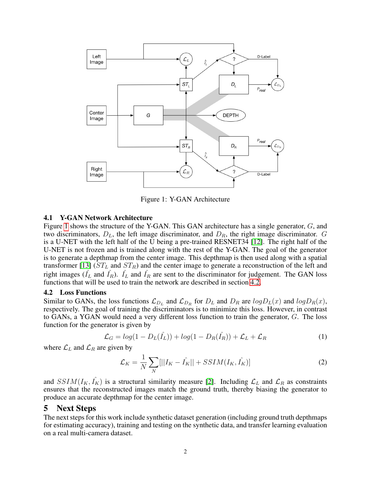

<span id="page-1-0"></span>Figure 1: Y-GAN Architecture

#### 4.1 Y-GAN Network Architecture

Figure [1](#page-1-0) shows the structure of the Y-GAN. This GAN architecture has a single generator, G, and two discriminators,  $D_L$ , the left image discriminator, and  $D_R$ , the right image discriminator. G is a U-NET with the left half of the U being a pre-trained RESNET34 [\[12\]](#page-2-11). The right half of the U-NET is not frozen and is trained along with the rest of the Y-GAN. The goal of the generator is to generate a depthmap from the center image. This depthmap is then used along with a spatial transformer [\[13\]](#page-2-12) ( $ST_L$  and  $ST_R$ ) and the center image to generate a reconstruction of the left and right images ( $\hat{I}_L$  and  $\hat{I}_R$ ).  $\hat{I}_L$  and  $\hat{I}_R$  are sent to the discriminator for judgement. The GAN loss functions that will be used to train the network are described in section [4.2.](#page-1-1)

#### <span id="page-1-1"></span>4.2 Loss Functions

Similar to GANs, the loss functions  $\mathcal{L}_{D_L}$  and  $\mathcal{L}_{D_R}$  for  $D_L$  and  $D_R$  are  $log D_L(x)$  and  $log D_R(x)$ , respectively. The goal of training the discriminators is to minimize this loss. However, in contrast to GANs, a YGAN would need a very different loss function to train the generator,  $G$ . The loss function for the generator is given by

$$
\mathcal{L}_G = \log(1 - D_L(\hat{I}_L)) + \log(1 - D_R(\hat{I}_R)) + \mathcal{L}_L + \mathcal{L}_R
$$
\n(1)

where  $\mathcal{L}_L$  and  $\mathcal{L}_R$  are given by

$$
\mathcal{L}_K = \frac{1}{N} \sum_N [||I_K - \hat{I_K}|| + SSIM(I_K, \hat{I_K})]
$$
\n(2)

and  $SSIM(I_K, I_K)$  is a structural similarity measure [\[2\]](#page-2-1). Including  $\mathcal{L}_L$  and  $\mathcal{L}_R$  as constraints ensures that the reconstructed images match the ground truth, thereby biasing the generator to produce an accurate depthmap for the center image.

### 5 Next Steps

The next steps for this work include synthetic dataset generation (including ground truth depthmaps for estimating accuracy), training and testing on the synthetic data, and transfer learning evaluation on a real multi-camera dataset.